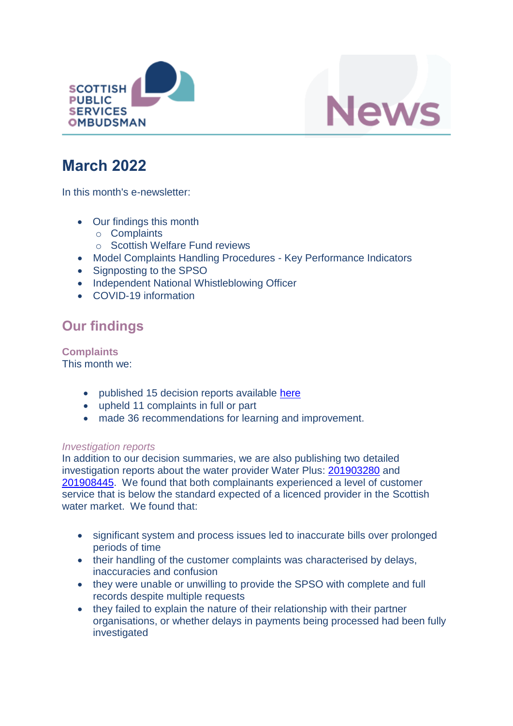



# **March 2022**

In this month's e-newsletter:

- Our findings this month
	- o Complaints
	- o Scottish Welfare Fund reviews
- Model Complaints Handling Procedures Key Performance Indicators
- Signposting to the SPSO
- Independent National Whistleblowing Officer
- COVID-19 information

## **Our findings**

**Complaints** This month we:

- published 15 decision reports available [here](https://www.spso.org.uk/our-findings)
- upheld 11 complaints in full or part
- made 36 recommendations for learning and improvement.

#### *Investigation reports*

In addition to our decision summaries, we are also publishing two detailed investigation reports about the water provider Water Plus: [201903280](https://www.spso.org.uk/investigation-reports/2022/march/water-plus-select-ltd) and [201908445.](https://www.spso.org.uk/investigation-reports/2022/march/water-plus-select-ltd-0) We found that both complainants experienced a level of customer service that is below the standard expected of a licenced provider in the Scottish water market. We found that:

- significant system and process issues led to inaccurate bills over prolonged periods of time
- their handling of the customer complaints was characterised by delays, inaccuracies and confusion
- they were unable or unwilling to provide the SPSO with complete and full records despite multiple requests
- they failed to explain the nature of their relationship with their partner organisations, or whether delays in payments being processed had been fully investigated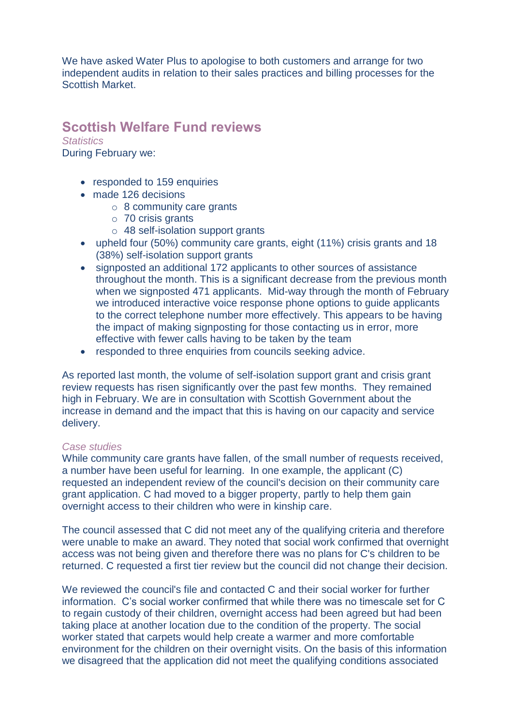We have asked Water Plus to apologise to both customers and arrange for two independent audits in relation to their sales practices and billing processes for the Scottish Market.

### **Scottish Welfare Fund reviews**

*Statistics* During February we:

- responded to 159 enquiries
- made 126 decisions
	- $\circ$  8 community care grants
	- o 70 crisis grants
	- o 48 self-isolation support grants
- upheld four (50%) community care grants, eight (11%) crisis grants and 18 (38%) self-isolation support grants
- signposted an additional 172 applicants to other sources of assistance throughout the month. This is a significant decrease from the previous month when we signposted 471 applicants. Mid-way through the month of February we introduced interactive voice response phone options to guide applicants to the correct telephone number more effectively. This appears to be having the impact of making signposting for those contacting us in error, more effective with fewer calls having to be taken by the team
- responded to three enquiries from councils seeking advice.

As reported last month, the volume of self-isolation support grant and crisis grant review requests has risen significantly over the past few months. They remained high in February. We are in consultation with Scottish Government about the increase in demand and the impact that this is having on our capacity and service delivery.

#### *Case studies*

While community care grants have fallen, of the small number of requests received, a number have been useful for learning. In one example, the applicant (C) requested an independent review of the council's decision on their community care grant application. C had moved to a bigger property, partly to help them gain overnight access to their children who were in kinship care.

The council assessed that C did not meet any of the qualifying criteria and therefore were unable to make an award. They noted that social work confirmed that overnight access was not being given and therefore there was no plans for C's children to be returned. C requested a first tier review but the council did not change their decision.

We reviewed the council's file and contacted C and their social worker for further information. C's social worker confirmed that while there was no timescale set for C to regain custody of their children, overnight access had been agreed but had been taking place at another location due to the condition of the property. The social worker stated that carpets would help create a warmer and more comfortable environment for the children on their overnight visits. On the basis of this information we disagreed that the application did not meet the qualifying conditions associated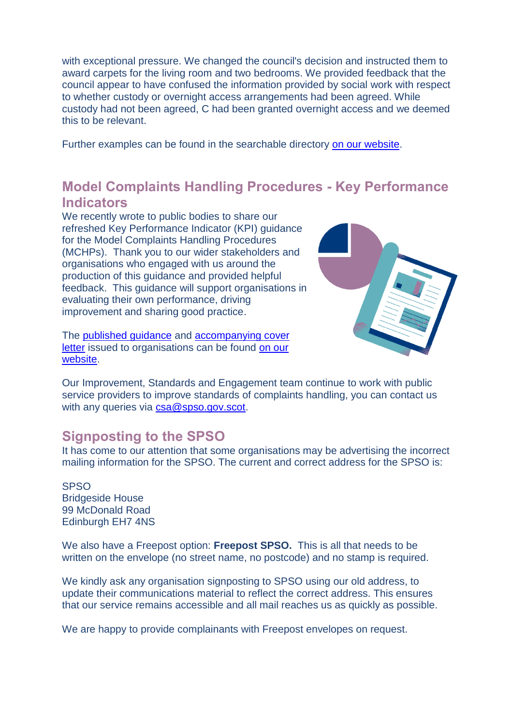with exceptional pressure. We changed the council's decision and instructed them to award carpets for the living room and two bedrooms. We provided feedback that the council appear to have confused the information provided by social work with respect to whether custody or overnight access arrangements had been agreed. While custody had not been agreed, C had been granted overnight access and we deemed this to be relevant.

Further examples can be found in the searchable directory [on our website.](https://www.spso.org.uk/scottishwelfarefund/case-summaries)

## **Model Complaints Handling Procedures - Key Performance Indicators**

We recently wrote to public bodies to share our refreshed Key Performance Indicator (KPI) guidance for the Model Complaints Handling Procedures (MCHPs). Thank you to our wider stakeholders and organisations who engaged with us around the production of this guidance and provided helpful feedback. This guidance will support organisations in evaluating their own performance, driving improvement and sharing good practice.

The [published guidance](https://www.spso.org.uk/sites/spso/files/csa/SPSOKPIsMCHP.pdf) and [accompanying cover](https://www.spso.org.uk/sites/spso/files/csa/SPSOLetterReKPIMCHP.pdf)  [letter](https://www.spso.org.uk/sites/spso/files/csa/SPSOLetterReKPIMCHP.pdf) issued to organisations can be found on our [website.](https://www.spso.org.uk/the-model-complaints-handling-procedures)



Our Improvement, Standards and Engagement team continue to work with public service providers to improve standards of complaints handling, you can contact us with any queries via [csa@spso.gov.scot.](mailto:csa@spso.gov.scot)

### **Signposting to the SPSO**

It has come to our attention that some organisations may be advertising the incorrect mailing information for the SPSO. The current and correct address for the SPSO is:

**SPSO** Bridgeside House 99 McDonald Road Edinburgh EH7 4NS

We also have a Freepost option: **Freepost SPSO.** This is all that needs to be written on the envelope (no street name, no postcode) and no stamp is required.

We kindly ask any organisation signposting to SPSO using our old address, to update their communications material to reflect the correct address. This ensures that our service remains accessible and all mail reaches us as quickly as possible.

We are happy to provide complainants with Freepost envelopes on request.